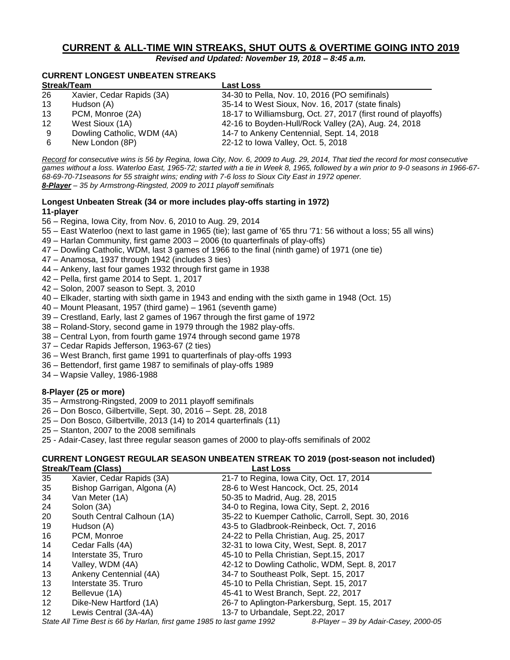# **CURRENT & ALL-TIME WIN STREAKS, SHUT OUTS & OVERTIME GOING INTO 2019**

*Revised and Updated: November 19, 2018 – 8:45 a.m.*

# **CURRENT LONGEST UNBEATEN STREAKS**

| Streak/Team |                            | <b>Last Loss</b>                                               |  |
|-------------|----------------------------|----------------------------------------------------------------|--|
| 26          | Xavier, Cedar Rapids (3A)  | 34-30 to Pella, Nov. 10, 2016 (PO semifinals)                  |  |
| 13          | Hudson (A)                 | 35-14 to West Sioux, Nov. 16, 2017 (state finals)              |  |
| 13          | PCM, Monroe (2A)           | 18-17 to Williamsburg, Oct. 27, 2017 (first round of playoffs) |  |
| 12          | West Sioux (1A)            | 42-16 to Boyden-Hull/Rock Valley (2A), Aug. 24, 2018           |  |
| 9           | Dowling Catholic, WDM (4A) | 14-7 to Ankeny Centennial, Sept. 14, 2018                      |  |
| 6           | New London (8P)            | 22-12 to lowa Valley, Oct. 5, 2018                             |  |

*Record for consecutive wins is 56 by Regina, Iowa City, Nov. 6, 2009 to Aug. 29, 2014, That tied the record for most consecutive games without a loss. Waterloo East, 1965-72; started with a tie in Week 8, 1965, followed by a win prior to 9-0 seasons in 1966-67- 68-69-70-71seasons for 55 straight wins; ending with 7-6 loss to Sioux City East in 1972 opener. 8-Player – 35 by Armstrong-Ringsted, 2009 to 2011 playoff semifinals*

# **Longest Unbeaten Streak (34 or more includes play-offs starting in 1972) 11-player**

- 56 Regina, Iowa City, from Nov. 6, 2010 to Aug. 29, 2014
- 55 East Waterloo (next to last game in 1965 (tie); last game of '65 thru '71: 56 without a loss; 55 all wins)
- 49 Harlan Community, first game 2003 2006 (to quarterfinals of play-offs)
- 47 Dowling Catholic, WDM, last 3 games of 1966 to the final (ninth game) of 1971 (one tie)
- 47 Anamosa, 1937 through 1942 (includes 3 ties)
- 44 Ankeny, last four games 1932 through first game in 1938
- 42 Pella, first game 2014 to Sept. 1, 2017
- 42 Solon, 2007 season to Sept. 3, 2010
- 40 Elkader, starting with sixth game in 1943 and ending with the sixth game in 1948 (Oct. 15)
- 40 Mount Pleasant, 1957 (third game) 1961 (seventh game)
- 39 Crestland, Early, last 2 games of 1967 through the first game of 1972
- 38 Roland-Story, second game in 1979 through the 1982 play-offs.
- 38 Central Lyon, from fourth game 1974 through second game 1978
- 37 Cedar Rapids Jefferson, 1963-67 (2 ties)
- 36 West Branch, first game 1991 to quarterfinals of play-offs 1993
- 36 Bettendorf, first game 1987 to semifinals of play-offs 1989
- 34 Wapsie Valley, 1986-1988

#### **8-Player (25 or more)**

- 35 Armstrong-Ringsted, 2009 to 2011 playoff semifinals
- 26 Don Bosco, Gilbertville, Sept. 30, 2016 Sept. 28, 2018
- 25 Don Bosco, Gilbertville, 2013 (14) to 2014 quarterfinals (11)
- 25 Stanton, 2007 to the 2008 semifinals
- 25 Adair-Casey, last three regular season games of 2000 to play-offs semifinals of 2002

# **CURRENT LONGEST REGULAR SEASON UNBEATEN STREAK TO 2019 (post-season not included) Streak/Team (Class) Last Loss**

| 35                | Xavier, Cedar Rapids (3A)                                              | 21-7 to Regina, Iowa City, Oct. 17, 2014      |                                                    |
|-------------------|------------------------------------------------------------------------|-----------------------------------------------|----------------------------------------------------|
| 35                | Bishop Garrigan, Algona (A)                                            | 28-6 to West Hancock, Oct. 25, 2014           |                                                    |
| 34                | Van Meter (1A)                                                         | 50-35 to Madrid, Aug. 28, 2015                |                                                    |
| 24                | Solon (3A)                                                             | 34-0 to Regina, Iowa City, Sept. 2, 2016      |                                                    |
| 20                | South Central Calhoun (1A)                                             |                                               | 35-22 to Kuemper Catholic, Carroll, Sept. 30, 2016 |
| 19                | Hudson (A)                                                             | 43-5 to Gladbrook-Reinbeck, Oct. 7, 2016      |                                                    |
| 16                | PCM, Monroe                                                            | 24-22 to Pella Christian, Aug. 25, 2017       |                                                    |
| 14                | Cedar Falls (4A)                                                       | 32-31 to lowa City, West, Sept. 8, 2017       |                                                    |
| 14                | Interstate 35, Truro                                                   | 45-10 to Pella Christian, Sept.15, 2017       |                                                    |
| 14                | Valley, WDM (4A)                                                       | 42-12 to Dowling Catholic, WDM, Sept. 8, 2017 |                                                    |
| 13                | Ankeny Centennial (4A)                                                 | 34-7 to Southeast Polk, Sept. 15, 2017        |                                                    |
| 13                | Interstate 35. Truro                                                   | 45-10 to Pella Christian, Sept. 15, 2017      |                                                    |
| 12 <sup>°</sup>   | Bellevue (1A)                                                          | 45-41 to West Branch, Sept. 22, 2017          |                                                    |
| 12 <sup>°</sup>   | Dike-New Hartford (1A)                                                 | 26-7 to Aplington-Parkersburg, Sept. 15, 2017 |                                                    |
| $12 \overline{ }$ | Lewis Central (3A-4A)                                                  | 13-7 to Urbandale, Sept.22, 2017              |                                                    |
|                   | State All Time Best is 66 by Harlan, first game 1985 to last game 1992 |                                               | 8-Player - 39 by Adair-Casey, 2000-05              |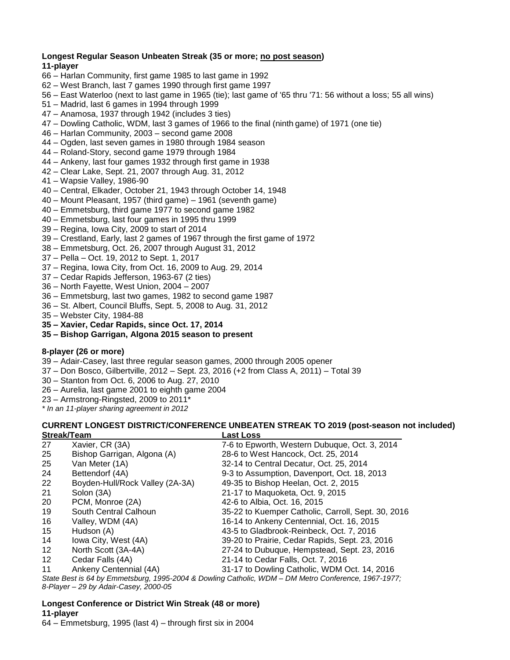## **Longest Regular Season Unbeaten Streak (35 or more; no post season) 11-player**

- 66 Harlan Community, first game 1985 to last game in 1992
- 62 West Branch, last 7 games 1990 through first game 1997
- 56 East Waterloo (next to last game in 1965 (tie); last game of '65 thru '71: 56 without a loss; 55 all wins)
- 51 Madrid, last 6 games in 1994 through 1999
- 47 Anamosa, 1937 through 1942 (includes 3 ties)
- 47 Dowling Catholic, WDM, last 3 games of 1966 to the final (ninth game) of 1971 (one tie)
- 46 Harlan Community, 2003 second game 2008
- 44 Ogden, last seven games in 1980 through 1984 season
- 44 Roland-Story, second game 1979 through 1984
- 44 Ankeny, last four games 1932 through first game in 1938
- 42 Clear Lake, Sept. 21, 2007 through Aug. 31, 2012
- 41 Wapsie Valley, 1986-90
- 40 Central, Elkader, October 21, 1943 through October 14, 1948
- 40 Mount Pleasant, 1957 (third game) 1961 (seventh game)
- 40 Emmetsburg, third game 1977 to second game 1982
- 40 Emmetsburg, last four games in 1995 thru 1999
- 39 Regina, Iowa City, 2009 to start of 2014
- 39 Crestland, Early, last 2 games of 1967 through the first game of 1972
- 38 Emmetsburg, Oct. 26, 2007 through August 31, 2012
- 37 Pella Oct. 19, 2012 to Sept. 1, 2017
- 37 Regina, Iowa City, from Oct. 16, 2009 to Aug. 29, 2014
- 37 Cedar Rapids Jefferson, 1963-67 (2 ties)
- 36 North Fayette, West Union, 2004 2007
- 36 Emmetsburg, last two games, 1982 to second game 1987
- 36 St. Albert, Council Bluffs, Sept. 5, 2008 to Aug. 31, 2012
- 35 Webster City, 1984-88
- **35 – Xavier, Cedar Rapids, since Oct. 17, 2014**
- **35 – Bishop Garrigan, Algona 2015 season to present**

# **8-player (26 or more)**

- 39 Adair-Casey, last three regular season games, 2000 through 2005 opener
- 37 Don Bosco, Gilbertville, 2012 Sept. 23, 2016 (+2 from Class A, 2011) Total 39
- 30 Stanton from Oct. 6, 2006 to Aug. 27, 2010
- 26 Aurelia, last game 2001 to eighth game 2004
- 23 Armstrong-Ringsted, 2009 to 2011\*
- *\* In an 11-player sharing agreement in 2012*

#### **CURRENT LONGEST DISTRICT/CONFERENCE UNBEATEN STREAK TO 2019 (post-season not included) Streak/Team Last Loss**

| 27      | Xavier, CR (3A)                 | 7-6 to Epworth, Western Dubuque, Oct. 3, 2014                                                       |
|---------|---------------------------------|-----------------------------------------------------------------------------------------------------|
| 25      | Bishop Garrigan, Algona (A)     | 28-6 to West Hancock, Oct. 25, 2014                                                                 |
| 25      | Van Meter (1A)                  | 32-14 to Central Decatur, Oct. 25, 2014                                                             |
| 24      | Bettendorf (4A)                 | 9-3 to Assumption, Davenport, Oct. 18, 2013                                                         |
| 22      | Boyden-Hull/Rock Valley (2A-3A) | 49-35 to Bishop Heelan, Oct. 2, 2015                                                                |
| 21      | Solon (3A)                      | 21-17 to Maquoketa, Oct. 9, 2015                                                                    |
| 20      | PCM, Monroe (2A)                | 42-6 to Albia, Oct. 16, 2015                                                                        |
| 19      | South Central Calhoun           | 35-22 to Kuemper Catholic, Carroll, Sept. 30, 2016                                                  |
| 16      | Valley, WDM (4A)                | 16-14 to Ankeny Centennial, Oct. 16, 2015                                                           |
| 15      | Hudson (A)                      | 43-5 to Gladbrook-Reinbeck, Oct. 7, 2016                                                            |
| 14      | lowa City, West (4A)            | 39-20 to Prairie, Cedar Rapids, Sept. 23, 2016                                                      |
| 12      | North Scott (3A-4A)             | 27-24 to Dubuque, Hempstead, Sept. 23, 2016                                                         |
| $12 \,$ | Cedar Falls (4A)                | 21-14 to Cedar Falls, Oct. 7, 2016                                                                  |
| 11      | Ankeny Centennial (4A)          | 31-17 to Dowling Catholic, WDM Oct. 14, 2016                                                        |
|         |                                 | State Best is 64 by Emmetsburg, 1995-2004 & Dowling Catholic, WDM - DM Metro Conference, 1967-1977; |

*8-Player – 29 by Adair-Casey, 2000-05*

# **Longest Conference or District Win Streak (48 or more) 11-player**

64 – Emmetsburg, 1995 (last 4) – through first six in 2004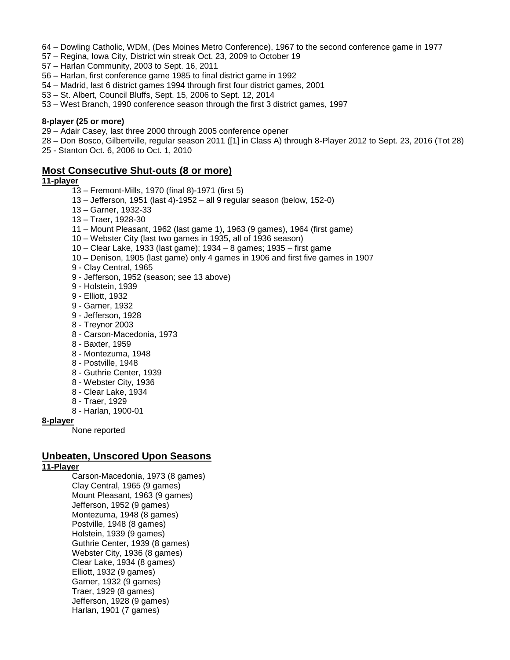- 64 Dowling Catholic, WDM, (Des Moines Metro Conference), 1967 to the second conference game in 1977
- 57 Regina, Iowa City, District win streak Oct. 23, 2009 to October 19
- 57 Harlan Community, 2003 to Sept. 16, 2011
- 56 Harlan, first conference game 1985 to final district game in 1992
- 54 Madrid, last 6 district games 1994 through first four district games, 2001
- 53 St. Albert, Council Bluffs, Sept. 15, 2006 to Sept. 12, 2014
- 53 West Branch, 1990 conference season through the first 3 district games, 1997

#### **8-player (25 or more)**

- 29 Adair Casey, last three 2000 through 2005 conference opener
- 28 Don Bosco, Gilbertville, regular season 2011 ([1] in Class A) through 8-Player 2012 to Sept. 23, 2016 (Tot 28)
- 25 Stanton Oct. 6, 2006 to Oct. 1, 2010

# **Most Consecutive Shut-outs (8 or more)**

# **11-player**

- 13 Fremont-Mills, 1970 (final 8)-1971 (first 5)
- 13 Jefferson, 1951 (last 4)-1952 all 9 regular season (below, 152-0)
- 13 Garner, 1932-33
- 13 Traer, 1928-30
- 11 Mount Pleasant, 1962 (last game 1), 1963 (9 games), 1964 (first game)
- 10 Webster City (last two games in 1935, all of 1936 season)
- 10 Clear Lake, 1933 (last game); 1934 8 games; 1935 first game
- 10 Denison, 1905 (last game) only 4 games in 1906 and first five games in 1907
- 9 Clay Central, 1965
- 9 Jefferson, 1952 (season; see 13 above)
- 9 Holstein, 1939
- 9 Elliott, 1932
- 9 Garner, 1932
- 9 Jefferson, 1928
- 8 Treynor 2003
- 8 Carson-Macedonia, 1973
- 8 Baxter, 1959
- 8 Montezuma, 1948
- 8 Postville, 1948
- 8 Guthrie Center, 1939
- 8 Webster City, 1936
- 8 Clear Lake, 1934
- 8 Traer, 1929
- 8 Harlan, 1900-01

#### **8-player**

None reported

# **Unbeaten, Unscored Upon Seasons**

## **11-Player**

Carson-Macedonia, 1973 (8 games) Clay Central, 1965 (9 games) Mount Pleasant, 1963 (9 games) Jefferson, 1952 (9 games) Montezuma, 1948 (8 games) Postville, 1948 (8 games) Holstein, 1939 (9 games) Guthrie Center, 1939 (8 games) Webster City, 1936 (8 games) Clear Lake, 1934 (8 games) Elliott, 1932 (9 games) Garner, 1932 (9 games) Traer, 1929 (8 games) Jefferson, 1928 (9 games) Harlan, 1901 (7 games)